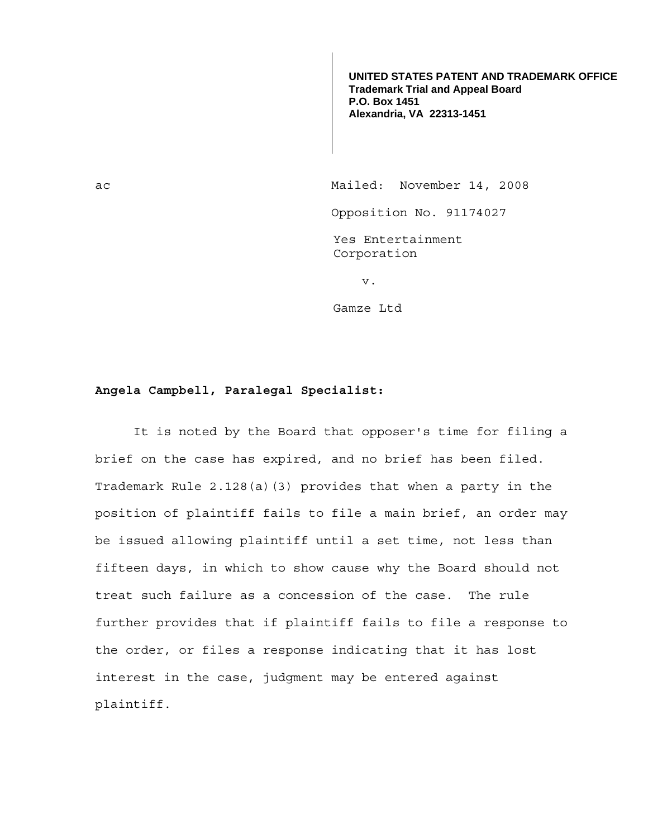**UNITED STATES PATENT AND TRADEMARK OFFICE Trademark Trial and Appeal Board P.O. Box 1451 Alexandria, VA 22313-1451**

ac Mailed: November 14, 2008 Opposition No. 91174027 Yes Entertainment Corporation v.

Gamze Ltd

## **Angela Campbell, Paralegal Specialist:**

 It is noted by the Board that opposer's time for filing a brief on the case has expired, and no brief has been filed. Trademark Rule 2.128(a)(3) provides that when a party in the position of plaintiff fails to file a main brief, an order may be issued allowing plaintiff until a set time, not less than fifteen days, in which to show cause why the Board should not treat such failure as a concession of the case. The rule further provides that if plaintiff fails to file a response to the order, or files a response indicating that it has lost interest in the case, judgment may be entered against plaintiff.